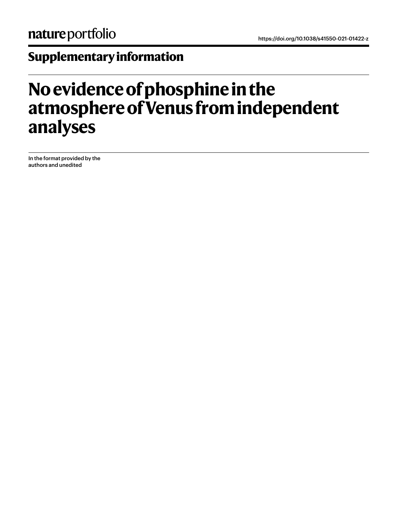# **Supplementary information**

# **No evidence of phosphine in the atmosphere of Venus from independent analyses**

In the format provided by the authors and unedited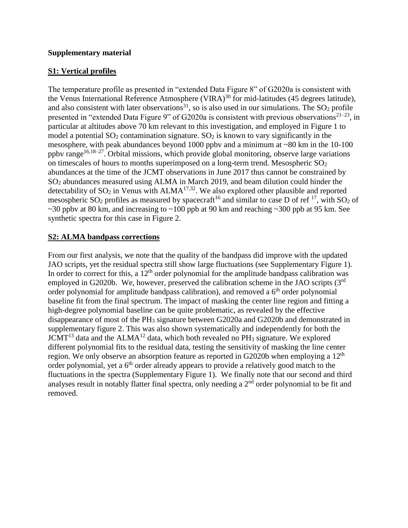#### **Supplementary material**

## **S1: Vertical profiles**

The temperature profile as presented in "extended Data Figure 8" of G2020a is consistent with the Venus International Reference Atmosphere (VIRA)<sup>30</sup> for mid-latitudes (45 degrees latitude), and also consistent with later observations<sup>31</sup>, so is also used in our simulations. The  $SO_2$  profile presented in "extended Data Figure 9" of G2020a is consistent with previous observations<sup>21–23</sup>, in particular at altitudes above 70 km relevant to this investigation, and employed in Figure 1 to model a potential  $SO_2$  contamination signature.  $SO_2$  is known to vary significantly in the mesosphere, with peak abundances beyond 1000 ppbv and a minimum at ~80 km in the 10-100 ppbv range<sup>16,18–27</sup>. Orbital missions, which provide global monitoring, observe large variations on timescales of hours to months superimposed on a long-term trend. Mesospheric  $SO<sub>2</sub>$ abundances at the time of the JCMT observations in June 2017 thus cannot be constrained by SO<sup>2</sup> abundances measured using ALMA in March 2019, and beam dilution could hinder the detectability of  $SO_2$  in Venus with ALMA<sup>17,32</sup>. We also explored other plausible and reported mesospheric  $SO_2$  profiles as measured by spacecraft<sup>16</sup> and similar to case D of ref <sup>17</sup>, with  $SO_2$  of  $\sim$ 30 ppbv at 80 km, and increasing to  $\sim$ 100 ppb at 90 km and reaching  $\sim$ 300 ppb at 95 km. See synthetic spectra for this case in Figure 2.

## **S2: ALMA bandpass corrections**

From our first analysis, we note that the quality of the bandpass did improve with the updated JAO scripts, yet the residual spectra still show large fluctuations (see Supplementary Figure 1). In order to correct for this, a  $12<sup>th</sup>$  order polynomial for the amplitude bandpass calibration was employed in G2020b. We, however, preserved the calibration scheme in the JAO scripts (3<sup>rd</sup>) order polynomial for amplitude bandpass calibration), and removed a  $6<sup>th</sup>$  order polynomial baseline fit from the final spectrum. The impact of masking the center line region and fitting a high-degree polynomial baseline can be quite problematic, as revealed by the effective disappearance of most of the PH<sub>3</sub> signature between G2020a and G2020b and demonstrated in supplementary figure 2. This was also shown systematically and independently for both the  $JCMT<sup>13</sup>$  data and the ALMA<sup>12</sup> data, which both revealed no PH<sub>3</sub> signature. We explored different polynomial fits to the residual data, testing the sensitivity of masking the line center region. We only observe an absorption feature as reported in G2020b when employing a 12<sup>th</sup> order polynomial, yet a  $6<sup>th</sup>$  order already appears to provide a relatively good match to the fluctuations in the spectra (Supplementary Figure 1). We finally note that our second and third analyses result in notably flatter final spectra, only needing a 2<sup>nd</sup> order polynomial to be fit and removed.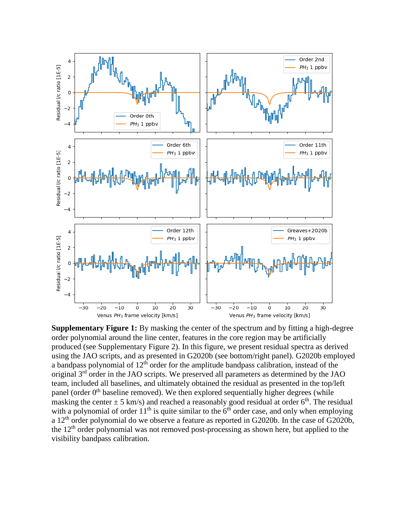

**Supplementary Figure 1:** By masking the center of the spectrum and by fitting a high-degree order polynomial around the line center, features in the core region may be artificially produced (see Supplementary Figure 2). In this figure, we present residual spectra as derived using the JAO scripts, and as presented in G2020b (see bottom/right panel). G2020b employed a bandpass polynomial of  $12<sup>th</sup>$  order for the amplitude bandpass calibration, instead of the original  $3<sup>rd</sup>$  order in the JAO scripts. We preserved all parameters as determined by the JAO team, included all baselines, and ultimately obtained the residual as presented in the top/left panel (order  $0<sup>th</sup>$  baseline removed). We then explored sequentially higher degrees (while masking the center  $\pm$  5 km/s) and reached a reasonably good residual at order 6<sup>th</sup>. The residual with a polynomial of order  $11<sup>th</sup>$  is quite similar to the  $6<sup>th</sup>$  order case, and only when employing a 12<sup>th</sup> order polynomial do we observe a feature as reported in G2020b. In the case of G2020b, the 12<sup>th</sup> order polynomial was not removed post-processing as shown here, but applied to the visibility bandpass calibration.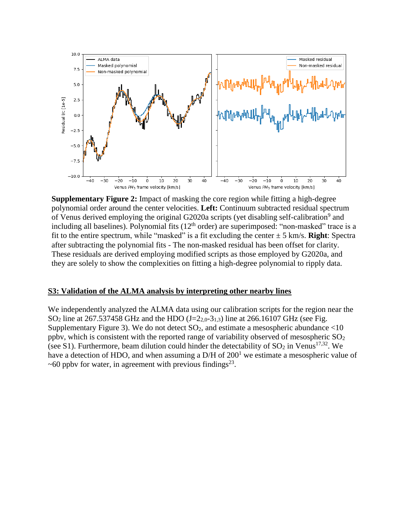

**Supplementary Figure 2:** Impact of masking the core region while fitting a high-degree polynomial order around the center velocities. **Left:** Continuum subtracted residual spectrum of Venus derived employing the original G2020a scripts (yet disabling self-calibration<sup>9</sup> and including all baselines). Polynomial fits  $(12<sup>th</sup> order)$  are superimposed: "non-masked" trace is a fit to the entire spectrum, while "masked" is a fit excluding the center  $\pm$  5 km/s. **Right**: Spectra after subtracting the polynomial fits - The non-masked residual has been offset for clarity. These residuals are derived employing modified scripts as those employed by G2020a, and they are solely to show the complexities on fitting a high-degree polynomial to ripply data.

#### **S3: Validation of the ALMA analysis by interpreting other nearby lines**

We independently analyzed the ALMA data using our calibration scripts for the region near the  $SO_2$  line at 267.537458 GHz and the HDO (J= $2_{2,0}$ - $3_{1,3}$ ) line at 266.16107 GHz (see Fig. Supplementary Figure 3). We do not detect  $SO_2$ , and estimate a mesospheric abundance  $\langle 10 \rangle$ ppbv, which is consistent with the reported range of variability observed of mesospheric  $SO_2$ (see S1). Furthermore, beam dilution could hinder the detectability of  $SO_2$  in Venus<sup>17,32</sup>. We have a detection of HDO, and when assuming a  $D/H$  of  $200<sup>1</sup>$  we estimate a mesospheric value of  $\sim$  60 ppbv for water, in agreement with previous findings<sup>23</sup>.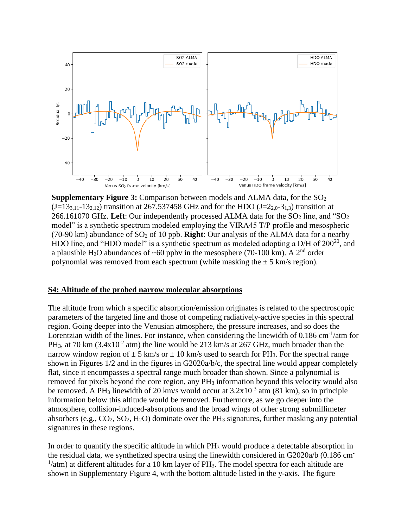

**Supplementary Figure 3:** Comparison between models and ALMA data, for the SO<sub>2</sub>  $(J=13_{3,11}-13_{2,12})$  transition at 267.537458 GHz and for the HDO  $(J=2_{2,0}-3_{1,3})$  transition at 266.161070 GHz. Left: Our independently processed ALMA data for the  $SO_2$  line, and " $SO_2$ model" is a synthetic spectrum modeled employing the VIRA45 T/P profile and mesospheric (70-90 km) abundance of  $SO_2$  of 10 ppb. **Right**: Our analysis of the ALMA data for a nearby HDO line, and "HDO model" is a synthetic spectrum as modeled adopting a D/H of 200<sup>20</sup>, and a plausible H<sub>2</sub>O abundances of ~60 ppby in the mesosphere (70-100 km). A 2<sup>nd</sup> order polynomial was removed from each spectrum (while masking the  $\pm$  5 km/s region).

#### **S4: Altitude of the probed narrow molecular absorptions**

The altitude from which a specific absorption/emission originates is related to the spectroscopic parameters of the targeted line and those of competing radiatively-active species in this spectral region. Going deeper into the Venusian atmosphere, the pressure increases, and so does the Lorentzian width of the lines. For instance, when considering the linewidth of 0.186 cm<sup>-1</sup>/atm for PH<sub>3</sub>, at 70 km (3.4x10<sup>-2</sup> atm) the line would be 213 km/s at 267 GHz, much broader than the narrow window region of  $\pm$  5 km/s or  $\pm$  10 km/s used to search for PH<sub>3</sub>. For the spectral range shown in Figures 1/2 and in the figures in G2020a/b/c, the spectral line would appear completely flat, since it encompasses a spectral range much broader than shown. Since a polynomial is removed for pixels beyond the core region, any PH<sub>3</sub> information beyond this velocity would also be removed. A PH<sub>3</sub> linewidth of 20 km/s would occur at  $3.2x10^{-3}$  atm (81 km), so in principle information below this altitude would be removed. Furthermore, as we go deeper into the atmosphere, collision-induced-absorptions and the broad wings of other strong submillimeter absorbers (e.g.,  $CO_2$ ,  $SO_2$ ,  $H_2O$ ) dominate over the PH<sub>3</sub> signatures, further masking any potential signatures in these regions.

In order to quantify the specific altitude in which PH<sub>3</sub> would produce a detectable absorption in the residual data, we synthetized spectra using the linewidth considered in G2020a/b (0.186 cm- $1/$ atm) at different altitudes for a 10 km layer of PH<sub>3</sub>. The model spectra for each altitude are shown in Supplementary Figure 4, with the bottom altitude listed in the y-axis. The figure